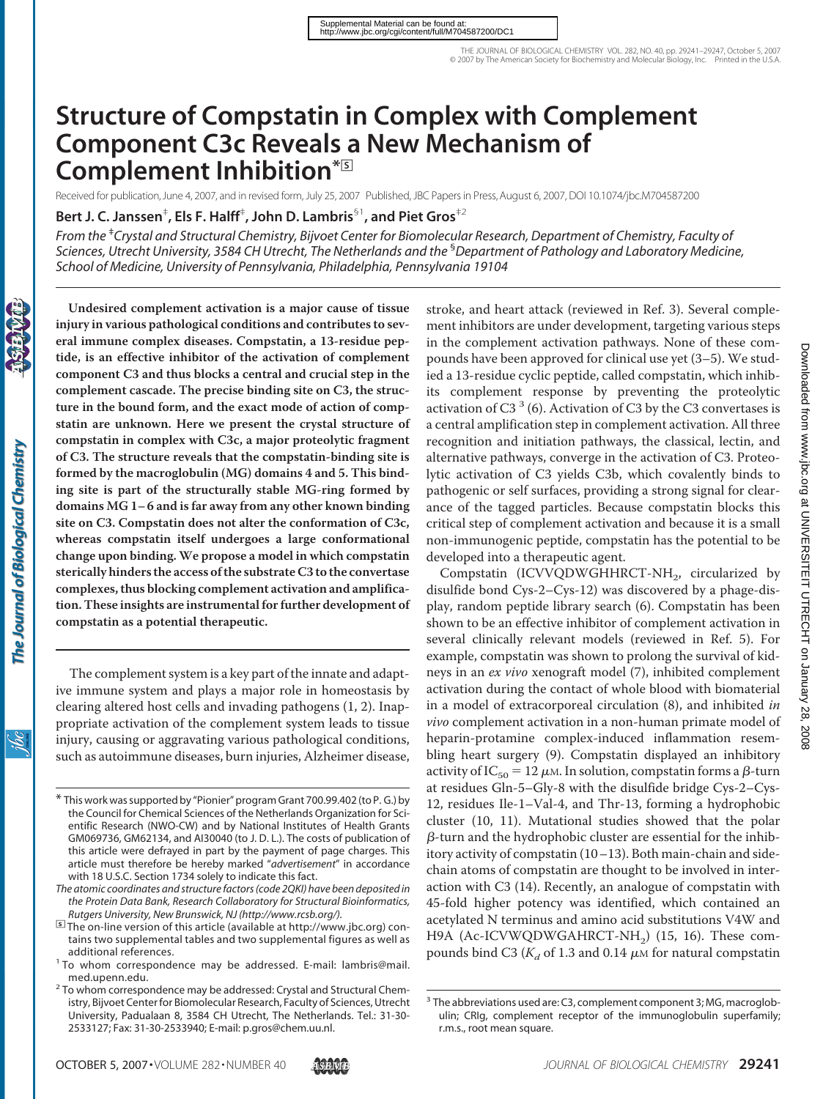# **Structure of Compstatin in Complex with Complement Component C3c Reveals a New Mechanism of Complement Inhibition\***□**<sup>S</sup>**

Received for publication, June 4, 2007, and in revised form, July 25, 2007 Published, JBC Papers in Press, August 6, 2007, DOI 10.1074/jbc.M704587200

**Bert J. C. Janssen**‡ **, Els F. Halff**‡ **, John D. Lambris**§1**, and Piet Gros**‡2

*From the* ‡ *Crystal and Structural Chemistry, Bijvoet Center for Biomolecular Research, Department of Chemistry, Faculty of Sciences, Utrecht University, 3584 CH Utrecht, The Netherlands and the* § *Department of Pathology and Laboratory Medicine, School of Medicine, University of Pennsylvania, Philadelphia, Pennsylvania 19104*

**Undesired complement activation is a major cause of tissue injury in various pathological conditions and contributes to several immune complex diseases. Compstatin, a 13-residue peptide, is an effective inhibitor of the activation of complement component C3 and thus blocks a central and crucial step in the complement cascade. The precise binding site on C3, the structure in the bound form, and the exact mode of action of compstatin are unknown. Here we present the crystal structure of compstatin in complex with C3c, a major proteolytic fragment of C3. The structure reveals that the compstatin-binding site is formed by the macroglobulin (MG) domains 4 and 5. This binding site is part of the structurally stable MG-ring formed by domains MG 1– 6 and is far away from any other known binding site on C3. Compstatin does not alter the conformation of C3c, whereas compstatin itself undergoes a large conformational change upon binding. We propose a model in which compstatin sterically hinders the access of the substrate C3 to the convertase complexes, thus blocking complement activation and amplification. These insights are instrumental for further development of compstatin as a potential therapeutic.**

The complement system is a key part of the innate and adaptive immune system and plays a major role in homeostasis by clearing altered host cells and invading pathogens (1, 2). Inappropriate activation of the complement system leads to tissue injury, causing or aggravating various pathological conditions, such as autoimmune diseases, burn injuries, Alzheimer disease,

stroke, and heart attack (reviewed in Ref. 3). Several complement inhibitors are under development, targeting various steps in the complement activation pathways. None of these compounds have been approved for clinical use yet (3–5). We studied a 13-residue cyclic peptide, called compstatin, which inhibits complement response by preventing the proteolytic activation of C3 $3$  (6). Activation of C3 by the C3 convertases is a central amplification step in complement activation. All three recognition and initiation pathways, the classical, lectin, and alternative pathways, converge in the activation of C3. Proteolytic activation of C3 yields C3b, which covalently binds to pathogenic or self surfaces, providing a strong signal for clearance of the tagged particles. Because compstatin blocks this critical step of complement activation and because it is a small non-immunogenic peptide, compstatin has the potential to be developed into a therapeutic agent.

Compstatin (ICVVQDWGHHRCT-NH<sub>2</sub>, circularized by disulfide bond Cys-2–Cys-12) was discovered by a phage-display, random peptide library search (6). Compstatin has been shown to be an effective inhibitor of complement activation in several clinically relevant models (reviewed in Ref. 5). For example, compstatin was shown to prolong the survival of kidneys in an *ex vivo* xenograft model (7), inhibited complement activation during the contact of whole blood with biomaterial in a model of extracorporeal circulation (8), and inhibited *in vivo* complement activation in a non-human primate model of heparin-protamine complex-induced inflammation resembling heart surgery (9). Compstatin displayed an inhibitory activity of IC<sub>50</sub> = 12  $\mu$ m. In solution, compstatin forms a  $\beta$ -turn at residues Gln-5–Gly-8 with the disulfide bridge Cys-2–Cys-12, residues Ile-1–Val-4, and Thr-13, forming a hydrophobic cluster (10, 11). Mutational studies showed that the polar  $\beta$ -turn and the hydrophobic cluster are essential for the inhibitory activity of compstatin (10–13). Both main-chain and sidechain atoms of compstatin are thought to be involved in interaction with C3 (14). Recently, an analogue of compstatin with 45-fold higher potency was identified, which contained an acetylated N terminus and amino acid substitutions V4W and H9A (Ac-ICVWQDWGAHRCT-NH<sub>2</sub>) (15, 16). These compounds bind C3 ( $K_d$  of 1.3 and 0.14  $\mu$ M for natural compstatin

<sup>\*</sup> This work was supported by "Pionier" program Grant 700.99.402 (to P. G.) by the Council for Chemical Sciences of the Netherlands Organization for Scientific Research (NWO-CW) and by National Institutes of Health Grants GM069736, GM62134, and AI30040 (to J. D. L.). The costs of publication of this article were defrayed in part by the payment of page charges. This article must therefore be hereby marked "*advertisement*" in accordance with 18 U.S.C. Section 1734 solely to indicate this fact.

*The atomic coordinates and structure factors (code 2QKI) have been deposited in the Protein Data Bank, Research Collaboratory for Structural Bioinformatics,*

*Rutgers University, New Brunswick, NJ (http://www.rcsb.org/).*<br>□ The on-line version of this article (available at http://www.jbc.org) contains two supplemental tables and two supplemental figures as well as

additional references.<br><sup>1</sup> To whom correspondence may be addressed. E-mail: lambris@mail. med.upenn.edu.<br><sup>2</sup> To whom correspondence may be addressed: Crystal and Structural Chem-

istry, Bijvoet Center for Biomolecular Research, Faculty of Sciences, Utrecht University, Padualaan 8, 3584 CH Utrecht, The Netherlands. Tel.: 31-30- 2533127; Fax: 31-30-2533940; E-mail: p.gros@chem.uu.nl.

<sup>&</sup>lt;sup>3</sup> The abbreviations used are: C3, complement component 3; MG, macroglobulin; CRIg, complement receptor of the immunoglobulin superfamily; r.m.s., root mean square.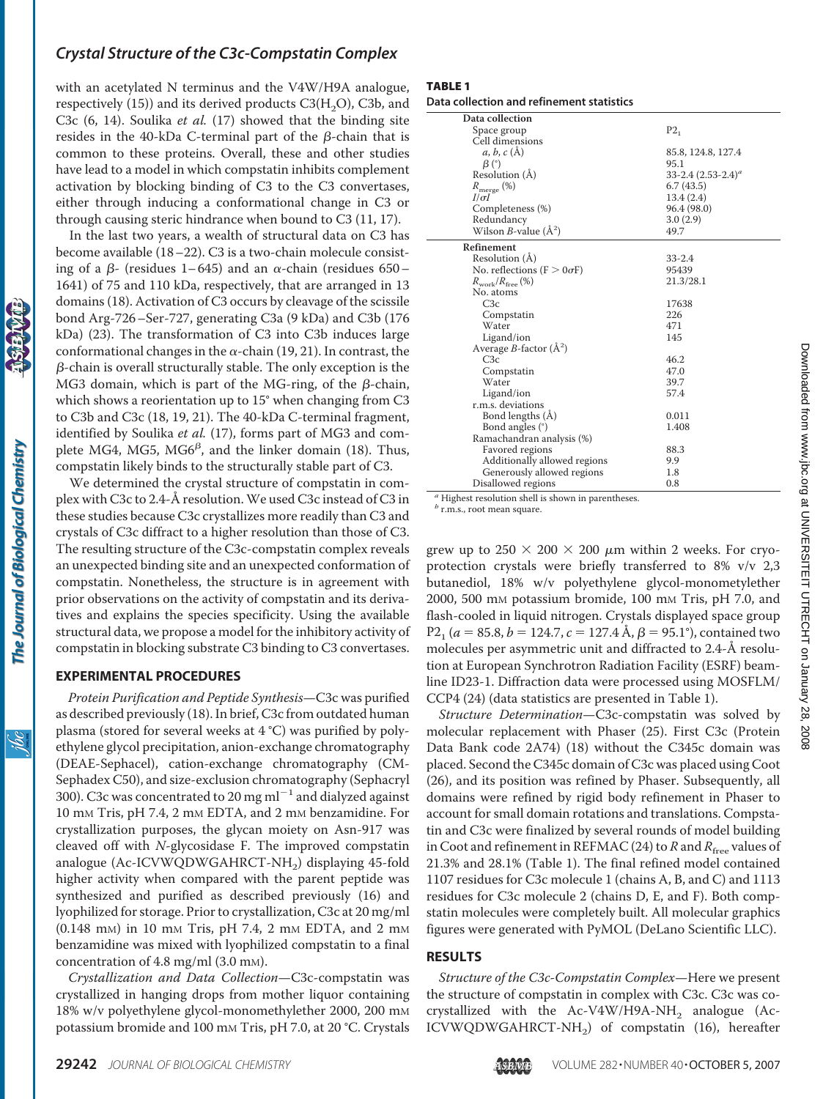with an acetylated N terminus and the V4W/H9A analogue, respectively (15)) and its derived products  $C3(H<sub>2</sub>O)$ , C3b, and C3c (6, 14). Soulika *et al.* (17) showed that the binding site resides in the 40-kDa C-terminal part of the  $\beta$ -chain that is common to these proteins. Overall, these and other studies have lead to a model in which compstatin inhibits complement activation by blocking binding of C3 to the C3 convertases, either through inducing a conformational change in C3 or through causing steric hindrance when bound to C3 (11, 17).

In the last two years, a wealth of structural data on C3 has become available (18–22). C3 is a two-chain molecule consisting of a  $\beta$ - (residues 1–645) and an  $\alpha$ -chain (residues 650– 1641) of 75 and 110 kDa, respectively, that are arranged in 13 domains (18). Activation of C3 occurs by cleavage of the scissile bond Arg-726–Ser-727, generating C3a (9 kDa) and C3b (176 kDa) (23). The transformation of C3 into C3b induces large conformational changes in the  $\alpha$ -chain (19, 21). In contrast, the  $\beta$ -chain is overall structurally stable. The only exception is the MG3 domain, which is part of the MG-ring, of the  $\beta$ -chain, which shows a reorientation up to 15° when changing from C3 to C3b and C3c (18, 19, 21). The 40-kDa C-terminal fragment, identified by Soulika *et al.* (17), forms part of MG3 and complete MG4, MG5, MG6<sup> $\beta$ </sup>, and the linker domain (18). Thus, compstatin likely binds to the structurally stable part of C3.

We determined the crystal structure of compstatin in complex with C3c to 2.4-Å resolution. We used C3c instead of C3 in these studies because C3c crystallizes more readily than C3 and crystals of C3c diffract to a higher resolution than those of C3. The resulting structure of the C3c-compstatin complex reveals an unexpected binding site and an unexpected conformation of compstatin. Nonetheless, the structure is in agreement with prior observations on the activity of compstatin and its derivatives and explains the species specificity. Using the available structural data, we propose a model for the inhibitory activity of compstatin in blocking substrate C3 binding to C3 convertases.

#### **EXPERIMENTAL PROCEDURES**

*Protein Purification and Peptide Synthesis*—C3c was purified as described previously (18). In brief, C3c from outdated human plasma (stored for several weeks at 4 °C) was purified by polyethylene glycol precipitation, anion-exchange chromatography (DEAE-Sephacel), cation-exchange chromatography (CM-Sephadex C50), and size-exclusion chromatography (Sephacryl 300). C3c was concentrated to 20 mg ml<sup> $^{-1}$ </sup> and dialyzed against 10 mM Tris, pH 7.4, 2 mM EDTA, and 2 mM benzamidine. For crystallization purposes, the glycan moiety on Asn-917 was cleaved off with *N*-glycosidase F. The improved compstatin analogue (Ac-ICVWQDWGAHRCT-NH<sub>2</sub>) displaying 45-fold higher activity when compared with the parent peptide was synthesized and purified as described previously (16) and lyophilized for storage. Prior to crystallization, C3c at 20 mg/ml (0.148 mM) in 10 mM Tris, pH 7.4, 2 mM EDTA, and 2 mM benzamidine was mixed with lyophilized compstatin to a final concentration of 4.8 mg/ml (3.0 mM).

*Crystallization and Data Collection*—C3c-compstatin was crystallized in hanging drops from mother liquor containing 18% w/v polyethylene glycol-monomethylether 2000, 200 mM potassium bromide and 100 mm Tris, pH 7.0, at 20 °C. Crystals

#### TABLE 1

**Data collection and refinement statistics**

| Data collection                      |                       |
|--------------------------------------|-----------------------|
| Space group                          | $P2_1$                |
| Cell dimensions                      |                       |
| a, b, c(A)                           | 85.8, 124.8, 127.4    |
| $\beta$ (°)                          | 95.1                  |
| Resolution (A)                       | 33-2.4 $(2.53-2.4)^a$ |
| $R_{\text{merge}}(\%)$               | 6.7(43.5)             |
| $I/\sigma I$                         | 13.4(2.4)             |
| Completeness (%)                     | 96.4 (98.0)           |
| Redundancy                           | 3.0(2.9)              |
| Wilson <i>B</i> -value $(\AA^2)$     | 49.7                  |
| Refinement                           |                       |
| Resolution (Å)                       | $33 - 2.4$            |
| No. reflections ( $F > 0 \sigma F$ ) | 95439                 |
| $R_{work}/R_{free}$ (%)              | 21.3/28.1             |
| No. atoms                            |                       |
| C3c                                  | 17638                 |
| Compstatin                           | 226                   |
| Water                                | 471                   |
| Ligand/ion                           | 145                   |
| Average <i>B</i> -factor $(\AA^2)$   |                       |
| C3c                                  | 46.2                  |
| Compstatin                           | 47.0                  |
| Water                                | 39.7                  |
| Ligand/ion                           | 57.4                  |
| r.m.s. deviations                    |                       |
| Bond lengths (A)                     | 0.011                 |
| Bond angles (°)                      | 1.408                 |
| Ramachandran analysis (%)            |                       |
| Favored regions                      | 88.3                  |
| Additionally allowed regions         | 9.9                   |
| Generously allowed regions           | 1.8                   |
| Disallowed regions                   | 0.8                   |
|                                      |                       |

*<sup>a</sup>* Highest resolution shell is shown in parentheses.

*<sup>b</sup>* r.m.s., root mean square.

grew up to  $250 \times 200 \times 200 \mu m$  within 2 weeks. For cryoprotection crystals were briefly transferred to 8% v/v 2,3 butanediol, 18% w/v polyethylene glycol-monometylether 2000, 500 mM potassium bromide, 100 mM Tris, pH 7.0, and flash-cooled in liquid nitrogen. Crystals displayed space group  $P2<sub>1</sub>$  (*a* = 85.8, *b* = 124.7, *c* = 127.4 Å,  $\beta$  = 95.1°), contained two molecules per asymmetric unit and diffracted to 2.4-Å resolution at European Synchrotron Radiation Facility (ESRF) beamline ID23-1. Diffraction data were processed using MOSFLM/ CCP4 (24) (data statistics are presented in Table 1).

*Structure Determination*—C3c-compstatin was solved by molecular replacement with Phaser (25). First C3c (Protein Data Bank code 2A74) (18) without the C345c domain was placed. Second the C345c domain of C3c was placed using Coot (26), and its position was refined by Phaser. Subsequently, all domains were refined by rigid body refinement in Phaser to account for small domain rotations and translations. Compstatin and C3c were finalized by several rounds of model building in Coot and refinement in REFMAC (24) to  $R$  and  $R_{\text{free}}$  values of 21.3% and 28.1% (Table 1). The final refined model contained 1107 residues for C3c molecule 1 (chains A, B, and C) and 1113 residues for C3c molecule 2 (chains D, E, and F). Both compstatin molecules were completely built. All molecular graphics figures were generated with PyMOL (DeLano Scientific LLC).

#### **RESULTS**

*Structure of the C3c-Compstatin Complex*—Here we present the structure of compstatin in complex with C3c. C3c was cocrystallized with the  $Ac-V4W/H9A-NH<sub>2</sub>$  analogue (Ac-ICVWQDWGAHRCT-NH<sub>2</sub>) of compstatin (16), hereafter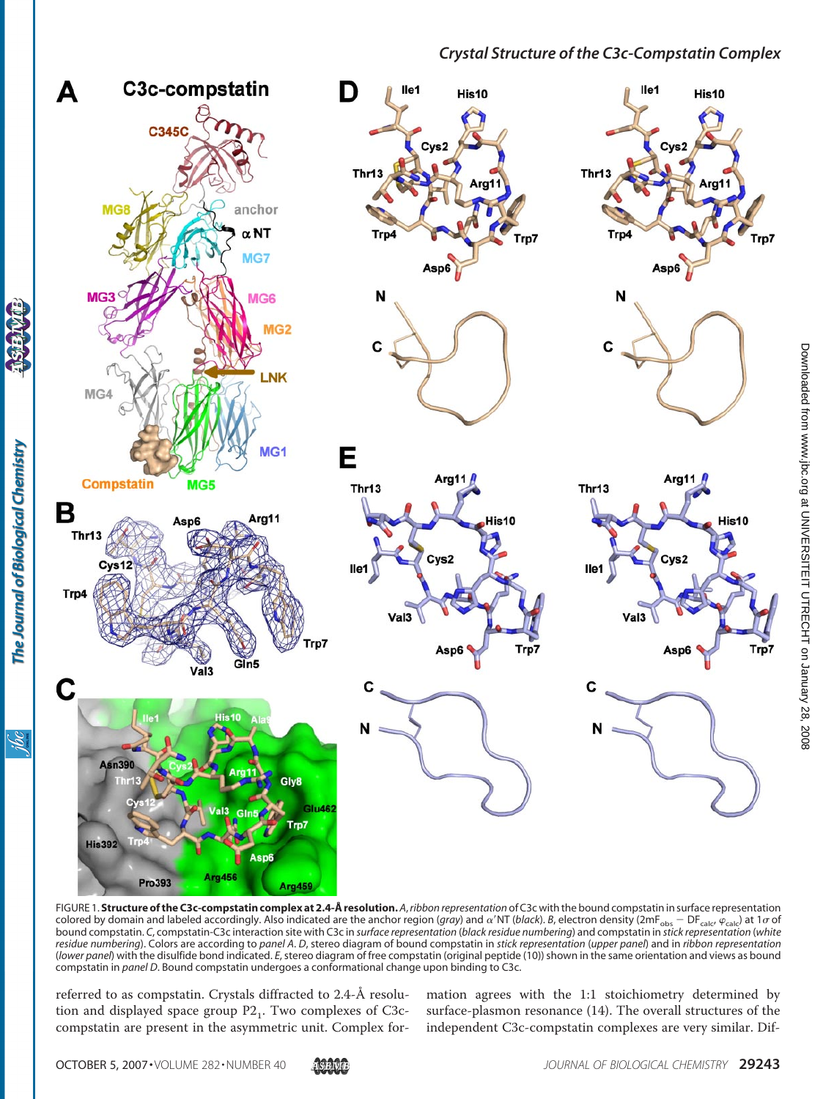

FIGURE 1. **Structure of the C3c-compstatin complex at 2.4-Å resolution.** *A*,*ribbon representation* of C3c with the bound compstatin in surface representation colored by domain and labeled accordingly. Also indicated are the anchor region (*gra*y) and  $\alpha'$ NT (*black*). *B*, electron density (2mF<sub>obs</sub> – DF<sub>calc</sub>,  $\varphi_{\rm calc}$ ) at 1 $\sigma$  of bound compstatin. *C*, compstatin-C3c interaction site with C3c in *surface representation* (*black residue numbering*) and compstatin in *stick representation* (*white residue numbering*). Colors are according to *panel A*. *D*, stereo diagram of bound compstatin in *stick representation* (*upper panel*) and in *ribbon representation* (*lower panel*) with the disulfide bond indicated. *E*, stereo diagram of free compstatin (original peptide (10)) shown in the same orientation and views as bound compstatin in *panel D*. Bound compstatin undergoes a conformational change upon binding to C3c.

referred to as compstatin. Crystals diffracted to 2.4-Å resolution and displayed space group  $P2<sub>1</sub>$ . Two complexes of C3ccompstatin are present in the asymmetric unit. Complex formation agrees with the 1:1 stoichiometry determined by surface-plasmon resonance (14). The overall structures of the independent C3c-compstatin complexes are very similar. Dif-

<u>isc</u>

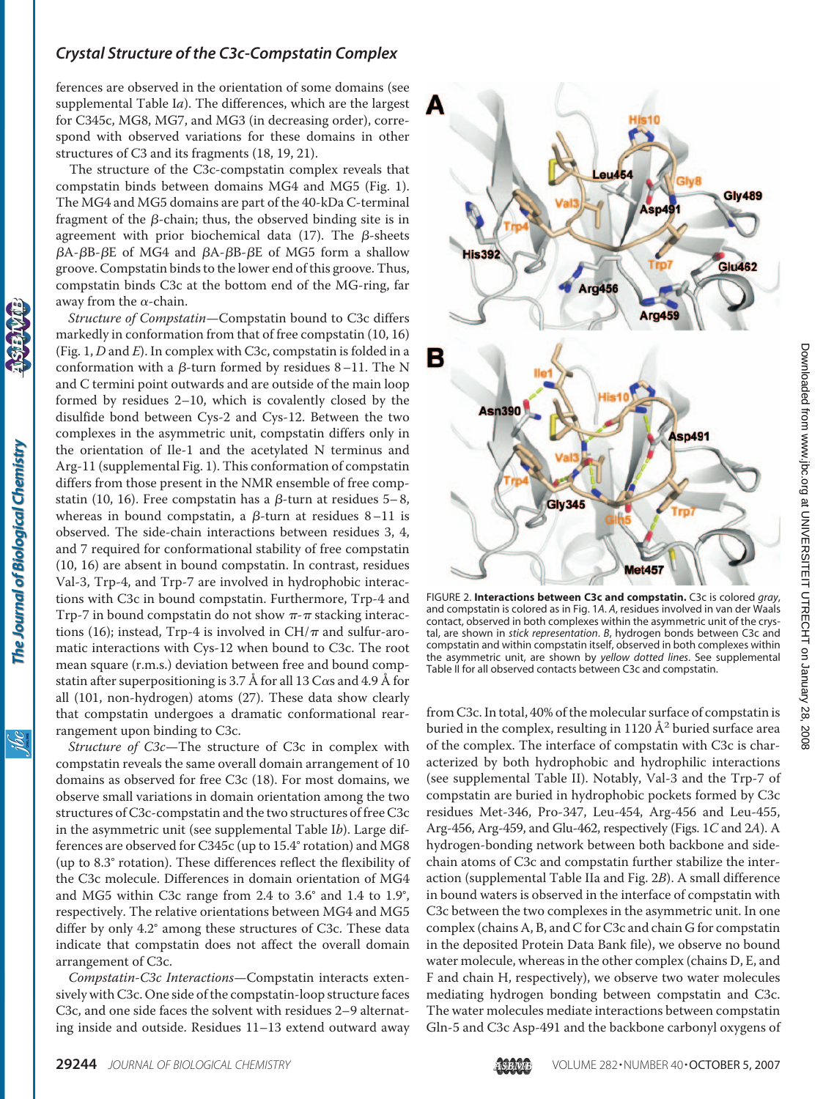ferences are observed in the orientation of some domains (see supplemental Table I*a*). The differences, which are the largest for C345c, MG8, MG7, and MG3 (in decreasing order), correspond with observed variations for these domains in other structures of C3 and its fragments (18, 19, 21).

The structure of the C3c-compstatin complex reveals that compstatin binds between domains MG4 and MG5 (Fig. 1). The MG4 and MG5 domains are part of the 40-kDa C-terminal fragment of the  $\beta$ -chain; thus, the observed binding site is in agreement with prior biochemical data  $(17)$ . The  $\beta$ -sheets  $\beta$ A- $\beta$ B- $\beta$ E of MG4 and  $\beta$ A- $\beta$ B- $\beta$ E of MG5 form a shallow groove. Compstatin binds to the lower end of this groove. Thus, compstatin binds C3c at the bottom end of the MG-ring, far away from the  $\alpha$ -chain.

*Structure of Compstatin*—Compstatin bound to C3c differs markedly in conformation from that of free compstatin (10, 16) (Fig. 1, *D* and *E*). In complex with C3c, compstatin is folded in a conformation with a  $\beta$ -turn formed by residues 8–11. The N and C termini point outwards and are outside of the main loop formed by residues 2–10, which is covalently closed by the disulfide bond between Cys-2 and Cys-12. Between the two complexes in the asymmetric unit, compstatin differs only in the orientation of Ile-1 and the acetylated N terminus and Arg-11 (supplemental Fig. 1). This conformation of compstatin differs from those present in the NMR ensemble of free compstatin (10, 16). Free compstatin has a  $\beta$ -turn at residues 5–8, whereas in bound compstatin, a  $\beta$ -turn at residues 8–11 is observed. The side-chain interactions between residues 3, 4, and 7 required for conformational stability of free compstatin (10, 16) are absent in bound compstatin. In contrast, residues Val-3, Trp-4, and Trp-7 are involved in hydrophobic interactions with C3c in bound compstatin. Furthermore, Trp-4 and Trp-7 in bound compstatin do not show  $\pi$ - $\pi$  stacking interactions (16); instead, Trp-4 is involved in  $CH/\pi$  and sulfur-aromatic interactions with Cys-12 when bound to C3c. The root mean square (r.m.s.) deviation between free and bound compstatin after superpositioning is 3.7 Å for all 13  $C\alpha s$  and 4.9 Å for all (101, non-hydrogen) atoms (27). These data show clearly that compstatin undergoes a dramatic conformational rearrangement upon binding to C3c.

*Structure of C3c*—The structure of C3c in complex with compstatin reveals the same overall domain arrangement of 10 domains as observed for free C3c (18). For most domains, we observe small variations in domain orientation among the two structures of C3c-compstatin and the two structures of free C3c in the asymmetric unit (see supplemental Table I*b*). Large differences are observed for C345c (up to 15.4° rotation) and MG8 (up to 8.3° rotation). These differences reflect the flexibility of the C3c molecule. Differences in domain orientation of MG4 and MG5 within C3c range from 2.4 to 3.6° and 1.4 to 1.9°, respectively. The relative orientations between MG4 and MG5 differ by only 4.2° among these structures of C3c. These data indicate that compstatin does not affect the overall domain arrangement of C3c.

*Compstatin-C3c Interactions*—Compstatin interacts extensively with C3c. One side of the compstatin-loop structure faces C3c, and one side faces the solvent with residues 2–9 alternating inside and outside. Residues 11–13 extend outward away



FIGURE 2. **Interactions between C3c and compstatin.** C3c is colored *gray*, and compstatin is colored as in Fig. 1*A*. *A*, residues involved in van der Waals contact, observed in both complexes within the asymmetric unit of the crystal, are shown in *stick representation*. *B*, hydrogen bonds between C3c and compstatin and within compstatin itself, observed in both complexes within the asymmetric unit, are shown by *yellow dotted lines*. See supplemental Table II for all observed contacts between C3c and compstatin.

from C3c. In total, 40% of the molecular surface of compstatin is buried in the complex, resulting in 1120  $\AA^2$  buried surface area of the complex. The interface of compstatin with C3c is characterized by both hydrophobic and hydrophilic interactions (see supplemental Table II). Notably, Val-3 and the Trp-7 of compstatin are buried in hydrophobic pockets formed by C3c residues Met-346, Pro-347, Leu-454, Arg-456 and Leu-455, Arg-456, Arg-459, and Glu-462, respectively (Figs. 1*C* and 2*A*). A hydrogen-bonding network between both backbone and sidechain atoms of C3c and compstatin further stabilize the interaction (supplemental Table IIa and Fig. 2*B*). A small difference in bound waters is observed in the interface of compstatin with C3c between the two complexes in the asymmetric unit. In one complex (chains A, B, and C for C3c and chain G for compstatin in the deposited Protein Data Bank file), we observe no bound water molecule, whereas in the other complex (chains D, E, and F and chain H, respectively), we observe two water molecules mediating hydrogen bonding between compstatin and C3c. The water molecules mediate interactions between compstatin Gln-5 and C3c Asp-491 and the backbone carbonyl oxygens of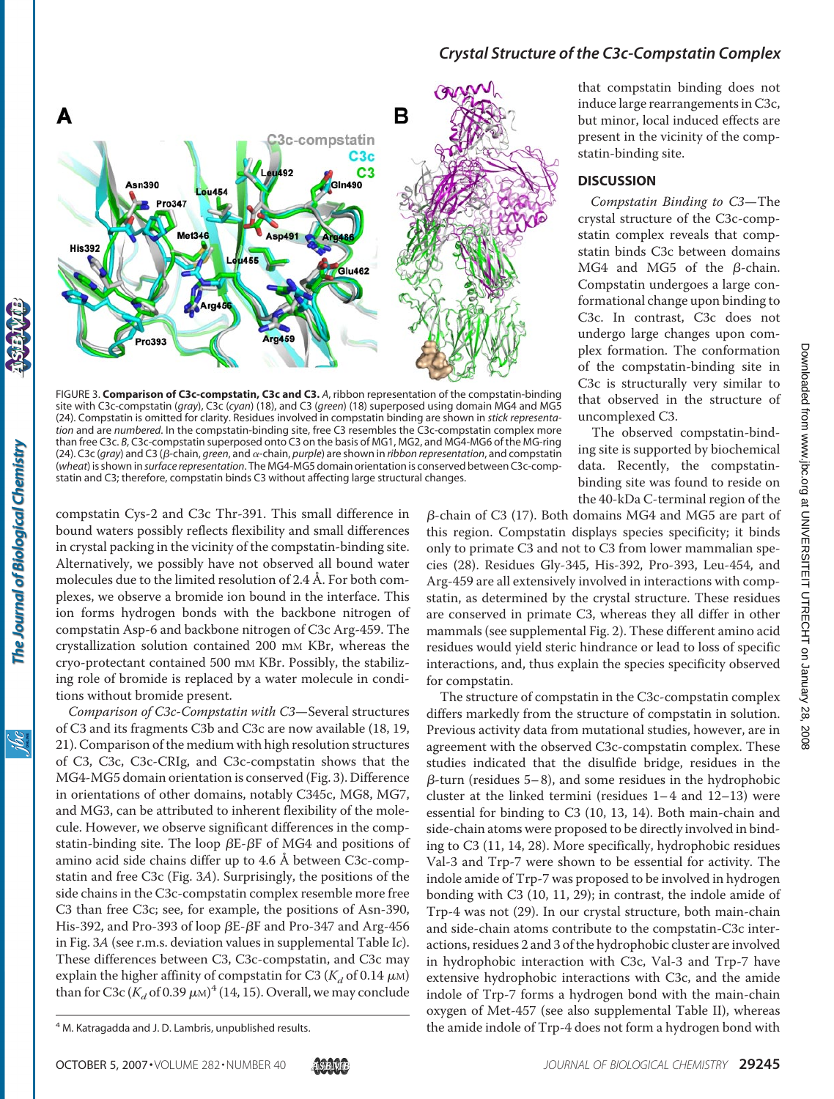

FIGURE 3. **Comparison of C3c-compstatin, C3c and C3.** *A*, ribbon representation of the compstatin-binding site with C3c-compstatin (*gray*), C3c (*cyan*) (18), and C3 (*green*) (18) superposed using domain MG4 and MG5 (24). Compstatin is omitted for clarity. Residues involved in compstatin binding are shown in *stick representation* and are *numbered*. In the compstatin-binding site, free C3 resembles the C3c-compstatin complex more than free C3c. *B*, C3c-compstatin superposed onto C3 on the basis of MG1, MG2, and MG4-MG6 of the MG-ring (24). C3c (gray) and C3 (β-chain, *green*, and α-chain, *purple*) are shown in *ribbon representation*, and compstatin (*wheat*) is shown in *surface representation*. The MG4-MG5 domain orientation is conserved between C3c-compstatin and C3; therefore, compstatin binds C3 without affecting large structural changes.

compstatin Cys-2 and C3c Thr-391. This small difference in bound waters possibly reflects flexibility and small differences in crystal packing in the vicinity of the compstatin-binding site. Alternatively, we possibly have not observed all bound water molecules due to the limited resolution of 2.4 Å. For both complexes, we observe a bromide ion bound in the interface. This ion forms hydrogen bonds with the backbone nitrogen of compstatin Asp-6 and backbone nitrogen of C3c Arg-459. The crystallization solution contained 200 mM KBr, whereas the cryo-protectant contained 500 mM KBr. Possibly, the stabilizing role of bromide is replaced by a water molecule in conditions without bromide present.

The Journal of Biological Chemistry

<u>жі</u>

*Comparison of C3c-Compstatin with C3*—Several structures of C3 and its fragments C3b and C3c are now available (18, 19, 21). Comparison of the medium with high resolution structures of C3, C3c, C3c-CRIg, and C3c-compstatin shows that the MG4-MG5 domain orientation is conserved (Fig. 3). Difference in orientations of other domains, notably C345c, MG8, MG7, and MG3, can be attributed to inherent flexibility of the molecule. However, we observe significant differences in the compstatin-binding site. The loop  $\beta E$ - $\beta F$  of MG4 and positions of amino acid side chains differ up to 4.6 Å between C3c-compstatin and free C3c (Fig. 3*A*). Surprisingly, the positions of the side chains in the C3c-compstatin complex resemble more free C3 than free C3c; see, for example, the positions of Asn-390, His-392, and Pro-393 of loop  $\beta$ E- $\beta$ F and Pro-347 and Arg-456 in Fig. 3*A* (see r.m.s. deviation values in supplemental Table I*c*). These differences between C3, C3c-compstatin, and C3c may explain the higher affinity of compstatin for C3 ( $K_d$  of 0.14  $\mu$ M) than for C3c  $(K_d$  of 0.39  $\mu$ m)<sup>4</sup> (14, 15). Overall, we may conclude

that compstatin binding does not induce large rearrangements in C3c, but minor, local induced effects are present in the vicinity of the compstatin-binding site.

#### **DISCUSSION**

*Compstatin Binding to C3*—The crystal structure of the C3c-compstatin complex reveals that compstatin binds C3c between domains MG4 and MG5 of the  $\beta$ -chain. Compstatin undergoes a large conformational change upon binding to C3c. In contrast, C3c does not undergo large changes upon complex formation. The conformation of the compstatin-binding site in C3c is structurally very similar to that observed in the structure of uncomplexed C3.

The observed compstatin-binding site is supported by biochemical data. Recently, the compstatinbinding site was found to reside on the 40-kDa C-terminal region of the

 $\beta$ -chain of C3 (17). Both domains MG4 and MG5 are part of this region. Compstatin displays species specificity; it binds only to primate C3 and not to C3 from lower mammalian species (28). Residues Gly-345, His-392, Pro-393, Leu-454, and Arg-459 are all extensively involved in interactions with compstatin, as determined by the crystal structure. These residues are conserved in primate C3, whereas they all differ in other mammals (see supplemental Fig. 2). These different amino acid residues would yield steric hindrance or lead to loss of specific interactions, and, thus explain the species specificity observed for compstatin.

The structure of compstatin in the C3c-compstatin complex differs markedly from the structure of compstatin in solution. Previous activity data from mutational studies, however, are in agreement with the observed C3c-compstatin complex. These studies indicated that the disulfide bridge, residues in the  $\beta$ -turn (residues 5–8), and some residues in the hydrophobic cluster at the linked termini (residues 1– 4 and 12–13) were essential for binding to C3 (10, 13, 14). Both main-chain and side-chain atoms were proposed to be directly involved in binding to C3 (11, 14, 28). More specifically, hydrophobic residues Val-3 and Trp-7 were shown to be essential for activity. The indole amide of Trp-7 was proposed to be involved in hydrogen bonding with C3 (10, 11, 29); in contrast, the indole amide of Trp-4 was not (29). In our crystal structure, both main-chain and side-chain atoms contribute to the compstatin-C3c interactions, residues 2 and 3 of the hydrophobic cluster are involved in hydrophobic interaction with C3c, Val-3 and Trp-7 have extensive hydrophobic interactions with C3c, and the amide indole of Trp-7 forms a hydrogen bond with the main-chain oxygen of Met-457 (see also supplemental Table II), whereas <sup>4</sup> M. Katragadda and J. D. Lambris, unpublished results. **A interpolan and the amide indole of Trp-4 does not form a hydrogen bond with**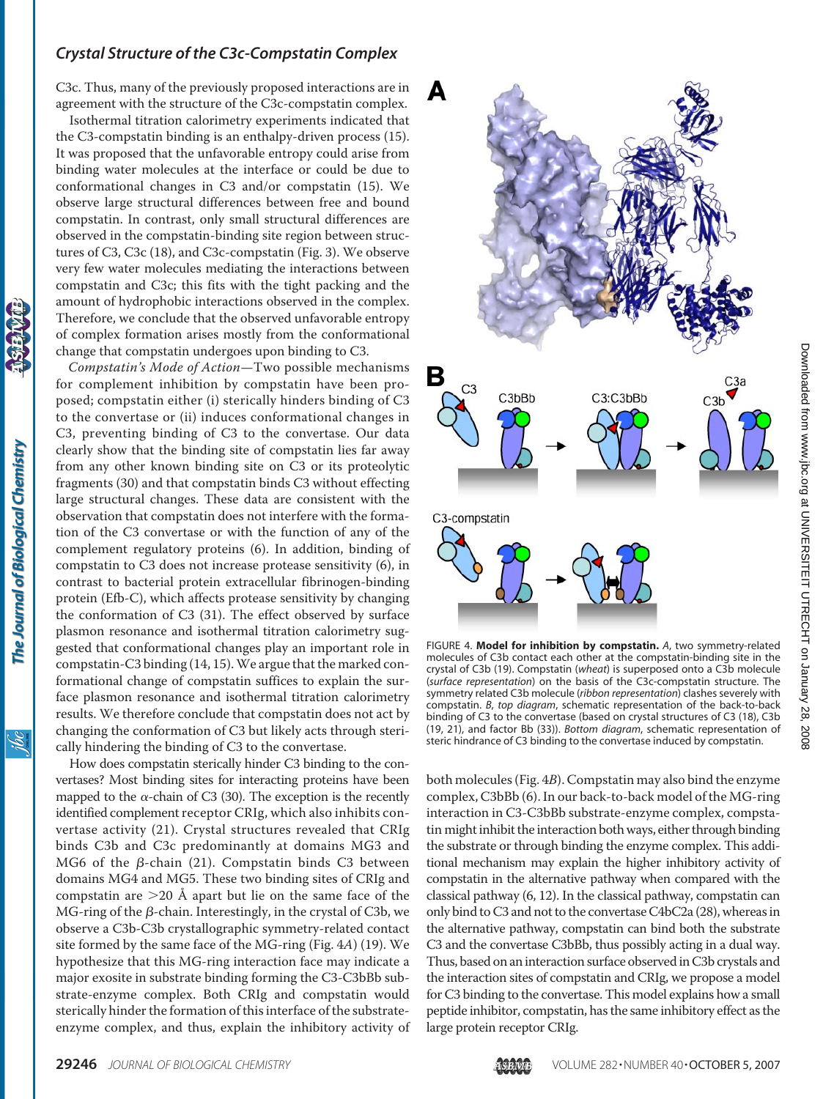C3c. Thus, many of the previously proposed interactions are in agreement with the structure of the C3c-compstatin complex.

Isothermal titration calorimetry experiments indicated that the C3-compstatin binding is an enthalpy-driven process (15). It was proposed that the unfavorable entropy could arise from binding water molecules at the interface or could be due to conformational changes in C3 and/or compstatin (15). We observe large structural differences between free and bound compstatin. In contrast, only small structural differences are observed in the compstatin-binding site region between structures of C3, C3c (18), and C3c-compstatin (Fig. 3). We observe very few water molecules mediating the interactions between compstatin and C3c; this fits with the tight packing and the amount of hydrophobic interactions observed in the complex. Therefore, we conclude that the observed unfavorable entropy of complex formation arises mostly from the conformational change that compstatin undergoes upon binding to C3.

*Compstatin's Mode of Action*—Two possible mechanisms for complement inhibition by compstatin have been proposed; compstatin either (i) sterically hinders binding of C3 to the convertase or (ii) induces conformational changes in C3, preventing binding of C3 to the convertase. Our data clearly show that the binding site of compstatin lies far away from any other known binding site on C3 or its proteolytic fragments (30) and that compstatin binds C3 without effecting large structural changes. These data are consistent with the observation that compstatin does not interfere with the formation of the C3 convertase or with the function of any of the complement regulatory proteins (6). In addition, binding of compstatin to C3 does not increase protease sensitivity (6), in contrast to bacterial protein extracellular fibrinogen-binding protein (Efb-C), which affects protease sensitivity by changing the conformation of C3 (31). The effect observed by surface plasmon resonance and isothermal titration calorimetry suggested that conformational changes play an important role in compstatin-C3 binding (14, 15).We argue that the marked conformational change of compstatin suffices to explain the surface plasmon resonance and isothermal titration calorimetry results. We therefore conclude that compstatin does not act by changing the conformation of C3 but likely acts through sterically hindering the binding of C3 to the convertase.

The Journal of Biological Chemistry

How does compstatin sterically hinder C3 binding to the convertases? Most binding sites for interacting proteins have been mapped to the  $\alpha$ -chain of C3 (30). The exception is the recently identified complement receptor CRIg, which also inhibits convertase activity (21). Crystal structures revealed that CRIg binds C3b and C3c predominantly at domains MG3 and MG6 of the  $\beta$ -chain (21). Compstatin binds C3 between domains MG4 and MG5. These two binding sites of CRIg and compstatin are  $>$ 20 Å apart but lie on the same face of the MG-ring of the  $\beta$ -chain. Interestingly, in the crystal of C3b, we observe a C3b-C3b crystallographic symmetry-related contact site formed by the same face of the MG-ring (Fig. 4*A*) (19). We hypothesize that this MG-ring interaction face may indicate a major exosite in substrate binding forming the C3-C3bBb substrate-enzyme complex. Both CRIg and compstatin would sterically hinder the formation of this interface of the substrateenzyme complex, and thus, explain the inhibitory activity of



2008

FIGURE 4. **Model for inhibition by compstatin.** *A*, two symmetry-related molecules of C3b contact each other at the compstatin-binding site in the crystal of C3b (19). Compstatin (*wheat*) is superposed onto a C3b molecule (*surface representation*) on the basis of the C3c-compstatin structure. The symmetry related C3b molecule (*ribbon representation*) clashes severely with compstatin. *B*, *top diagram*, schematic representation of the back-to-back binding of C3 to the convertase (based on crystal structures of C3 (18), C3b (19, 21), and factor Bb (33)). *Bottom diagram*, schematic representation of steric hindrance of C3 binding to the convertase induced by compstatin.

both molecules (Fig. 4*B*). Compstatin may also bind the enzyme complex, C3bBb (6). In our back-to-back model of the MG-ring interaction in C3-C3bBb substrate-enzyme complex, compstatin might inhibit the interaction both ways, either through binding the substrate or through binding the enzyme complex. This additional mechanism may explain the higher inhibitory activity of compstatin in the alternative pathway when compared with the classical pathway (6, 12). In the classical pathway, compstatin can only bind to C3 and not to the convertase C4bC2a (28), whereas in the alternative pathway, compstatin can bind both the substrate C3 and the convertase C3bBb, thus possibly acting in a dual way. Thus, based on an interaction surface observed in C3b crystals and the interaction sites of compstatin and CRIg, we propose a model for C3 binding to the convertase. This model explains how a small peptide inhibitor, compstatin, has the same inhibitory effect as the large protein receptor CRIg.